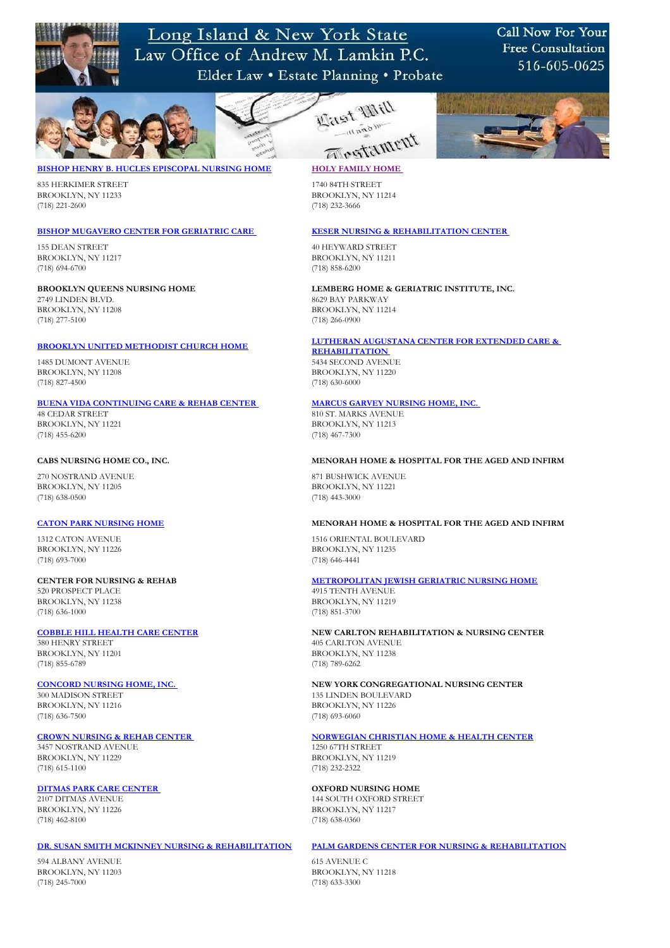

Long Island & New York State Law Office of Andrew M. Lamkin P.C. Elder Law • Estate Planning • Probate

## Call Now For Your **Free Consultation** 516-605-0625



835 HERKIMER STREET 1740 84TH STREET BROOKLYN, NY 11233 BROOKLYN, NY 11214 (718) 221-2600 (718) 232-3666

155 DEAN STREET 40 HEYWARD STREET BROOKLYN, NY 11217 BROOKLYN, NY 11211



### **[BROOKLYN UNITED METHODIST CHURCH HOME](http://www.bumch.org/pages/welcome.htm) LUTHERAN AUGUSTANA CENTER FOR EXTENDED CARE & [REHABILITATION](http://www.lutheranaugustanacenter.com/)**

48 CEDAR STREET 810 ST. MARKS AVENUE BROOKLYN, NY 11221 BROOKLYN, NY 11213

(718) 694-6700 (718) 858-6200

### **BROOKLYN QUEENS NURSING HOME LEMBERG HOME & GERIATRIC INSTITUTE, INC.**

2749 LINDEN BLVD. 8629 BAY PARKWAY BROOKLYN, NY 11208 BROOKLYN, NY 11214 (718) 277-5100 (718) 266-0900

270 NOSTRAND AVENUE 871 BUSHWICK AVENUE BROOKLYN, NY 11205 BROOKLYN, NY 11221 (718) 638-0500 (718) 443-3000

BROOKLYN, NY 11226 BROOKLYN, NY 11235 (718) 693-7000 (718) 646-4441

1485 DUMONT AVENUE 5434 SECOND AVENUE BROOKLYN, NY 11208 BROOKLYN, NY 11220 (718) 827-4500 (718) 630-6000

### **[BUENA VIDA CONTINUING CARE & REHAB CENTER](http://www.extendedcare.com/ElderCare/Facilities/NY/Brooklyn/BUENAVIDA/) MARCUS GARVEY NURSING HOME, INC.**

BROOKLYN, NY 11201 BROOKLYN, NY 11238 (718) 855-6789 (718) 789-6262

(718) 455-6200 (718) 467-7300

BROOKLYN, NY 11216 BROOKLYN, NY 11226 (718) 636-7500 (718) 693-6060

### **CABS NURSING HOME CO., INC. MENORAH HOME & HOSPITAL FOR THE AGED AND INFIRM**

### **[CATON PARK NURSING HOME](http://www.nynursinghome.com/) MENORAH HOME & HOSPITAL FOR THE AGED AND INFIRM**

1312 CATON AVENUE 1516 ORIENTAL BOULEVARD

### **CENTER FOR NURSING & REHAB [METROPOLITAN JEWISH GERIATRIC NURSING HOME](http://www.metropolitan.org/index.php?option=com_content&task=view&id=38&Itemid=114)**

520 PROSPECT PLACE 4915 TENTH AVENUE BROOKLYN, NY 11238 BROOKLYN, NY 11219



(718) 636-1000 (718) 851-3700



### **[COBBLE HILL HEALTH CARE CENTER](http://www.cobblehill.org/) NEW CARLTON REHABILITATION & NURSING CENTER**

380 HENRY STREET 405 CARLTON AVENUE

### **[CONCORD NURSING HOME, INC.](http://www.concordcares.org/nursing.php) NEW YORK CONGREGATIONAL NURSING CENTER**

300 MADISON STREET 135 LINDEN BOULEVARD

### **[CROWN NURSING & REHAB CENTER](http://www.crowncares.com/) MORWEGIAN CHRISTIAN HOME & HEALTH CENTER**

3457 NOSTRAND AVENUE 1250 67TH STREET BROOKLYN, NY 11229 BROOKLYN, NY 11219 (718) 615-1100 (718) 232-2322

### **[DITMAS PARK CARE CENTER](http://www.ditmasparkrehabcare.com/) OXFORD NURSING HOME**

2107 DITMAS AVENUE 144 SOUTH OXFORD STREET

BROOKLYN, NY 11226 BROOKLYN, NY 11217 (718) 462-8100 (718) 638-0360

### **[DR. SUSAN SMITH MCKINNEY NURSING & REHABILITATION](http://www.nyc.gov/) [PALM GARDENS CENTER FOR NURSING & REHABILITATION](http://www.palmgardenscenter.com/)**

594 ALBANY AVENUE 615 AVENUE C BROOKLYN, NY 11203 BROOKLYN, NY 11218 (718) 245-7000 (718) 633-3300